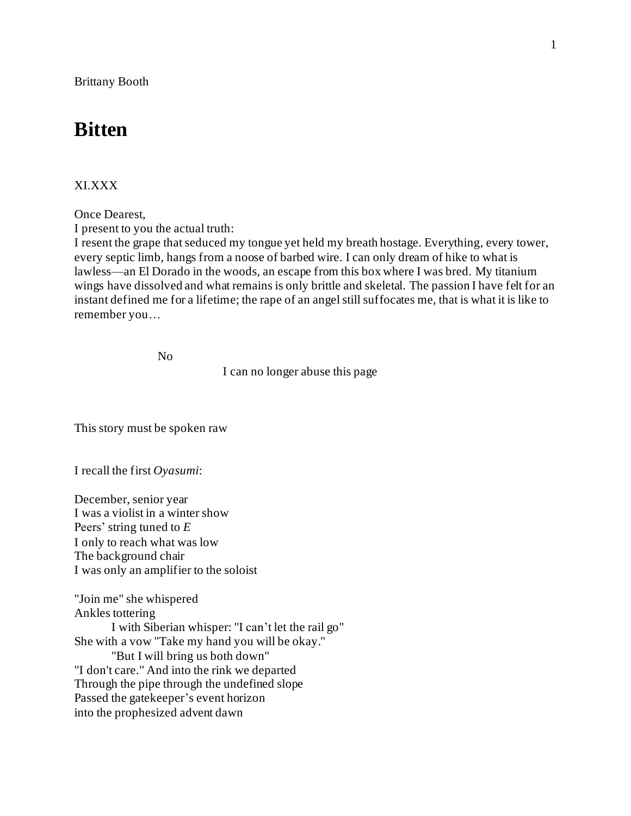Brittany Booth

# **Bitten**

## XI.XXX

Once Dearest,

I present to you the actual truth:

I resent the grape that seduced my tongue yet held my breath hostage. Everything, every tower, every septic limb, hangs from a noose of barbed wire. I can only dream of hike to what is lawless—an El Dorado in the woods, an escape from this box where I was bred. My titanium wings have dissolved and what remains is only brittle and skeletal. The passion I have felt for an instant defined me for a lifetime; the rape of an angel still suffocates me, that is what it is like to remember you…

No

I can no longer abuse this page

This story must be spoken raw

I recall the first *Oyasumi*:

December, senior year I was a violist in a winter show Peers' string tuned to *E* I only to reach what was low The background chair I was only an amplifier to the soloist

"Join me" she whispered Ankles tottering I with Siberian whisper: "I can't let the rail go" She with a vow "Take my hand you will be okay." "But I will bring us both down" "I don't care." And into the rink we departed Through the pipe through the undefined slope Passed the gatekeeper's event horizon into the prophesized advent dawn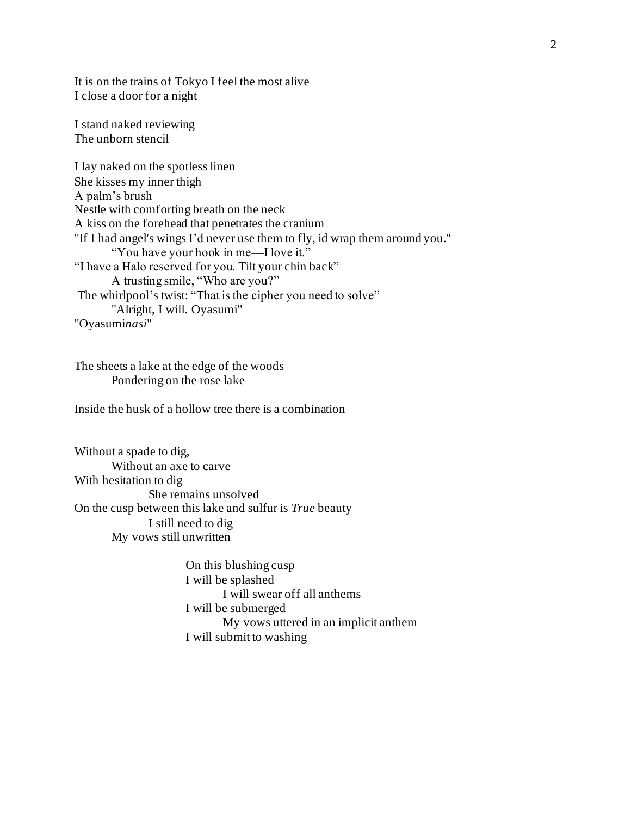It is on the trains of Tokyo I feel the most alive I close a door for a night

I stand naked reviewing The unborn stencil

I lay naked on the spotless linen She kisses my inner thigh A palm's brush Nestle with comforting breath on the neck A kiss on the forehead that penetrates the cranium "If I had angel's wings I'd never use them to fly, id wrap them around you." "You have your hook in me—I love it." "I have a Halo reserved for you. Tilt your chin back" A trusting smile, "Who are you?" The whirlpool's twist: "That is the cipher you need to solve" "Alright, I will. Oyasumi" "Oyasumi*nasi*"

The sheets a lake at the edge of the woods Pondering on the rose lake

Inside the husk of a hollow tree there is a combination

Without a spade to dig, Without an axe to carve With hesitation to dig She remains unsolved On the cusp between this lake and sulfur is *True* beauty I still need to dig My vows still unwritten

> On this blushing cusp I will be splashed I will swear off all anthems I will be submerged My vows uttered in an implicit anthem I will submit to washing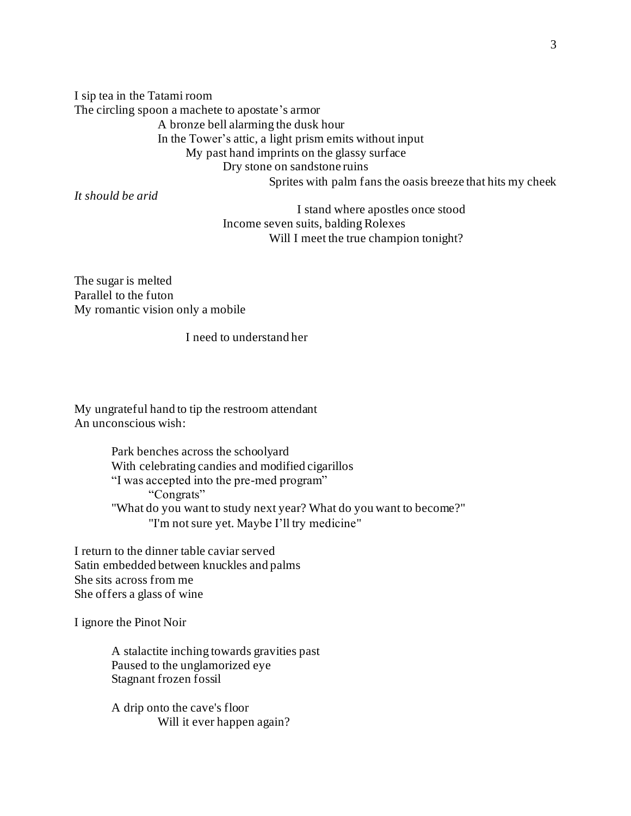I sip tea in the Tatami room The circling spoon a machete to apostate's armor A bronze bell alarming the dusk hour In the Tower's attic, a light prism emits without input My past hand imprints on the glassy surface Dry stone on sandstone ruins Sprites with palm fans the oasis breeze that hits my cheek

*It should be arid*

I stand where apostles once stood Income seven suits, balding Rolexes Will I meet the true champion tonight?

The sugar is melted Parallel to the futon My romantic vision only a mobile

I need to understand her

My ungrateful hand to tip the restroom attendant An unconscious wish:

> Park benches across the schoolyard With celebrating candies and modified cigarillos "I was accepted into the pre-med program" "Congrats" "What do you want to study next year? What do you want to become?" "I'm not sure yet. Maybe I'll try medicine"

I return to the dinner table caviar served Satin embedded between knuckles and palms She sits across from me She offers a glass of wine

I ignore the Pinot Noir

A stalactite inching towards gravities past Paused to the unglamorized eye Stagnant frozen fossil

A drip onto the cave's floor Will it ever happen again?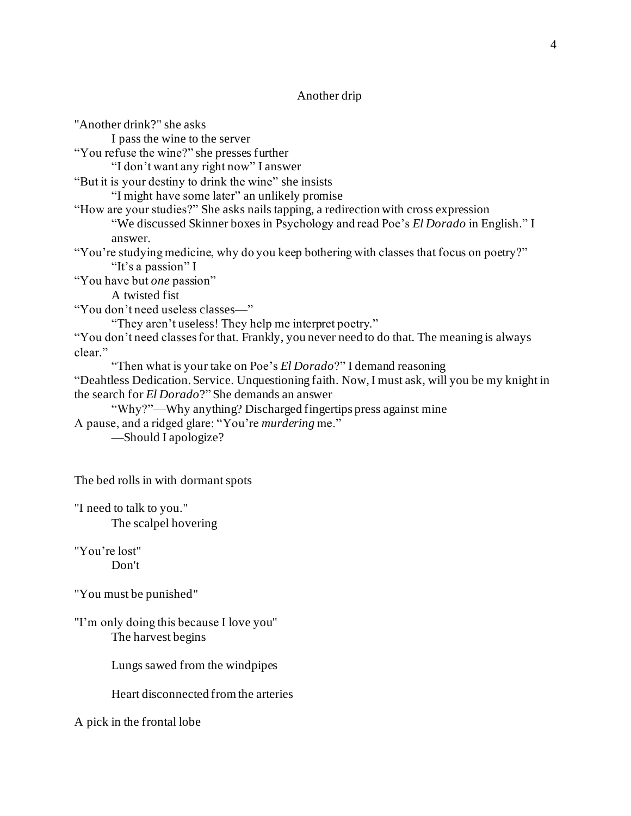## Another drip

"Another drink?" she asks I pass the wine to the server "You refuse the wine?" she presses further "I don't want any right now" I answer "But it is your destiny to drink the wine" she insists "I might have some later" an unlikely promise "How are your studies?" She asks nails tapping, a redirection with cross expression "We discussed Skinner boxes in Psychology and read Poe's *El Dorado* in English." I answer. "You're studying medicine, why do you keep bothering with classes that focus on poetry?" "It's a passion" I "You have but *one* passion" A twisted fist "You don't need useless classes—" "They aren't useless! They help me interpret poetry." "You don't need classes for that. Frankly, you never need to do that. The meaning is always clear." "Then what is your take on Poe's *El Dorado*?" I demand reasoning "Deahtless Dedication. Service. Unquestioning faith. Now, I must ask, will you be my knight in the search for *El Dorado*?" She demands an answer "Why?"—Why anything? Discharged fingertips press against mine A pause, and a ridged glare: "You're *murdering* me." **—**Should I apologize?

The bed rolls in with dormant spots

"I need to talk to you." The scalpel hovering

"You're lost" Don't

"You must be punished"

"I'm only doing this because I love you" The harvest begins

Lungs sawed from the windpipes

Heart disconnected from the arteries

A pick in the frontal lobe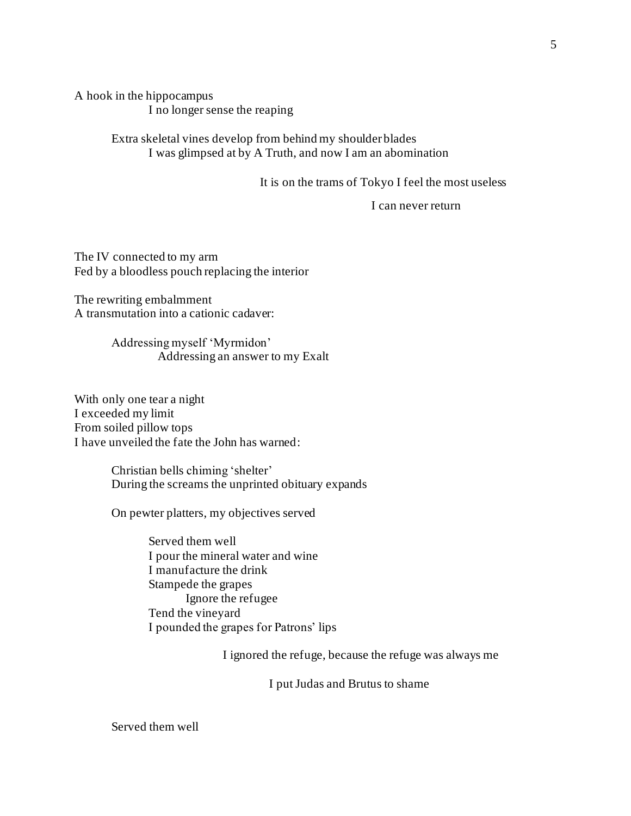A hook in the hippocampus I no longer sense the reaping

> Extra skeletal vines develop from behind my shoulder blades I was glimpsed at by A Truth, and now I am an abomination

> > It is on the trams of Tokyo I feel the most useless

I can never return

The IV connected to my arm Fed by a bloodless pouch replacing the interior

The rewriting embalmment A transmutation into a cationic cadaver:

> Addressing myself 'Myrmidon' Addressing an answer to my Exalt

With only one tear a night I exceeded my limit From soiled pillow tops I have unveiled the fate the John has warned:

> Christian bells chiming 'shelter' During the screams the unprinted obituary expands

On pewter platters, my objectives served

Served them well I pour the mineral water and wine I manufacture the drink Stampede the grapes Ignore the refugee Tend the vineyard I pounded the grapes for Patrons' lips

I ignored the refuge, because the refuge was always me

I put Judas and Brutus to shame

Served them well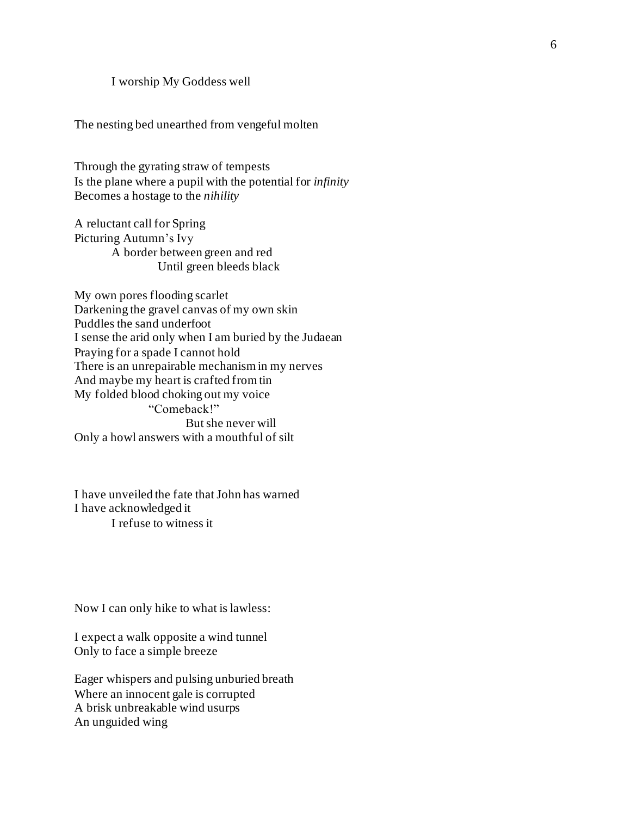### I worship My Goddess well

The nesting bed unearthed from vengeful molten

Through the gyrating straw of tempests Is the plane where a pupil with the potential for *infinity* Becomes a hostage to the *nihility* 

A reluctant call for Spring Picturing Autumn's Ivy A border between green and red Until green bleeds black

My own pores flooding scarlet Darkening the gravel canvas of my own skin Puddles the sand underfoot I sense the arid only when I am buried by the Judaean Praying for a spade I cannot hold There is an unrepairable mechanism in my nerves And maybe my heart is crafted from tin My folded blood choking out my voice "Comeback!" But she never will Only a howl answers with a mouthful of silt

I have unveiled the fate that John has warned I have acknowledged it I refuse to witness it

Now I can only hike to what is lawless:

I expect a walk opposite a wind tunnel Only to face a simple breeze

Eager whispers and pulsing unburied breath Where an innocent gale is corrupted A brisk unbreakable wind usurps An unguided wing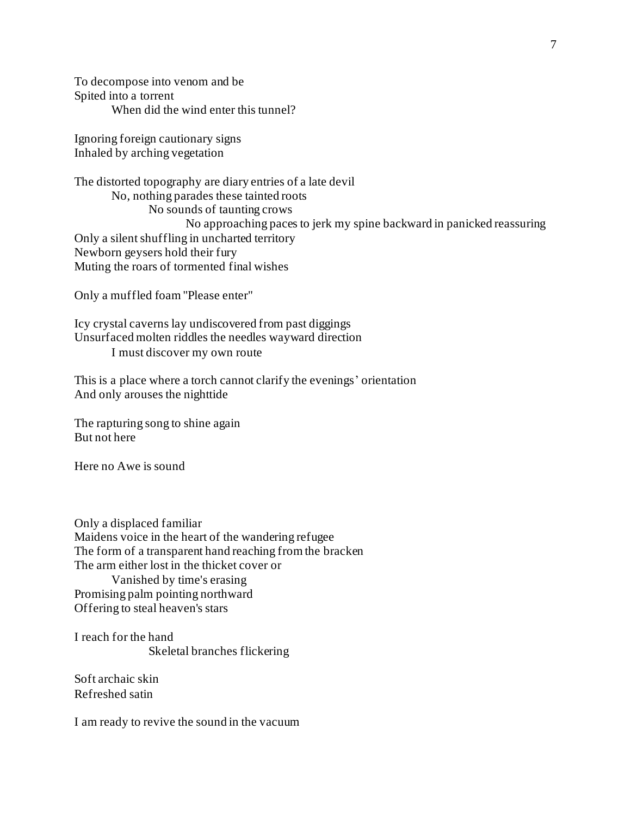To decompose into venom and be Spited into a torrent When did the wind enter this tunnel?

Ignoring foreign cautionary signs Inhaled by arching vegetation

The distorted topography are diary entries of a late devil No, nothing parades these tainted roots No sounds of taunting crows No approaching paces to jerk my spine backward in panicked reassuring Only a silent shuffling in uncharted territory Newborn geysers hold their fury Muting the roars of tormented final wishes

Only a muffled foam "Please enter"

Icy crystal caverns lay undiscovered from past diggings Unsurfaced molten riddles the needles wayward direction I must discover my own route

This is a place where a torch cannot clarify the evenings' orientation And only arouses the nighttide

The rapturing song to shine again But not here

Here no Awe is sound

Only a displaced familiar Maidens voice in the heart of the wandering refugee The form of a transparent hand reaching from the bracken The arm either lost in the thicket cover or Vanished by time's erasing Promising palm pointing northward Offering to steal heaven's stars

I reach for the hand Skeletal branches flickering

Soft archaic skin Refreshed satin

I am ready to revive the sound in the vacuum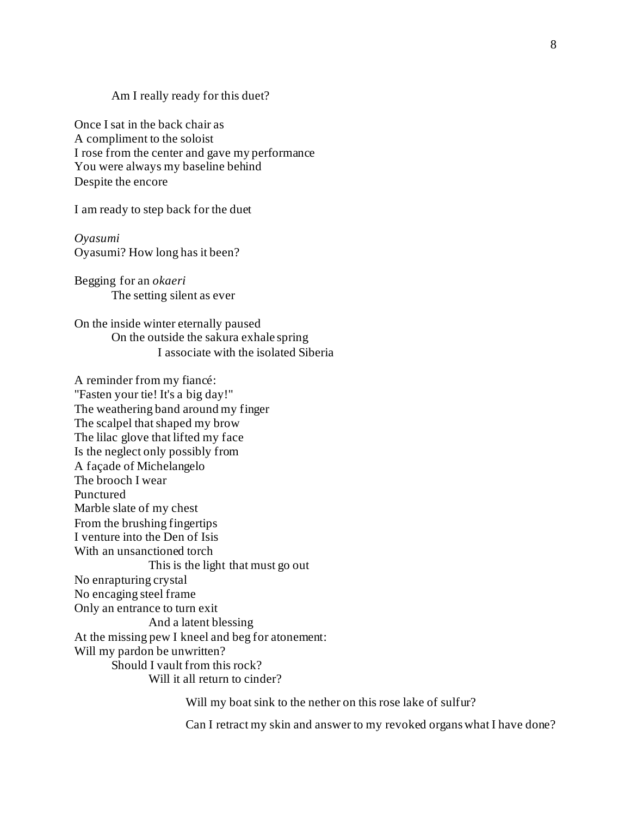#### Am I really ready for this duet?

Once I sat in the back chair as A compliment to the soloist I rose from the center and gave my performance You were always my baseline behind Despite the encore

I am ready to step back for the duet

*Oyasumi* Oyasumi? How long has it been?

Begging for an *okaeri* The setting silent as ever

On the inside winter eternally paused On the outside the sakura exhale spring I associate with the isolated Siberia

A reminder from my fiancé: "Fasten your tie! It's a big day!" The weathering band around my finger The scalpel that shaped my brow The lilac glove that lifted my face Is the neglect only possibly from A façade of Michelangelo The brooch I wear Punctured Marble slate of my chest From the brushing fingertips I venture into the Den of Isis With an unsanctioned torch This is the light that must go out No enrapturing crystal No encaging steel frame Only an entrance to turn exit And a latent blessing At the missing pew I kneel and beg for atonement: Will my pardon be unwritten? Should I vault from this rock? Will it all return to cinder?

Will my boat sink to the nether on this rose lake of sulfur?

Can I retract my skin and answer to my revoked organs what I have done?